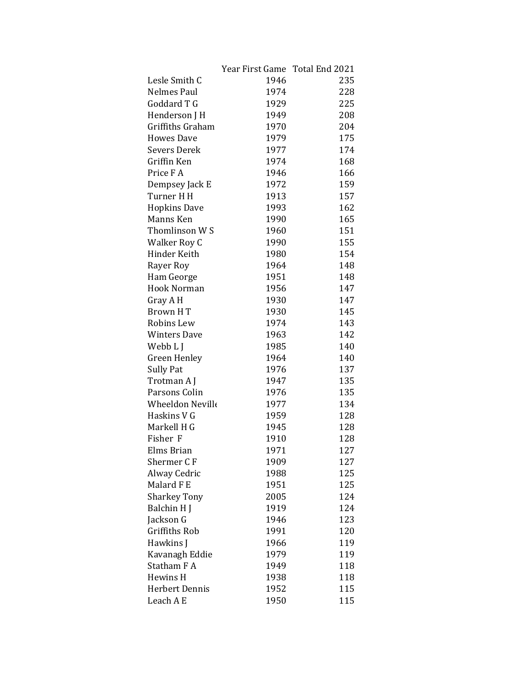|                         | Year First Game Total End 2021 |     |
|-------------------------|--------------------------------|-----|
| Lesle Smith C           | 1946                           | 235 |
| <b>Nelmes Paul</b>      | 1974                           | 228 |
| Goddard T G             | 1929                           | 225 |
| Henderson J H           | 1949                           | 208 |
| Griffiths Graham        | 1970                           | 204 |
| <b>Howes Dave</b>       | 1979                           | 175 |
| <b>Severs Derek</b>     | 1977                           | 174 |
| Griffin Ken             | 1974                           | 168 |
| Price FA                | 1946                           | 166 |
| Dempsey Jack E          | 1972                           | 159 |
| Turner H H              | 1913                           | 157 |
| <b>Hopkins Dave</b>     | 1993                           | 162 |
| Manns Ken               | 1990                           | 165 |
| Thomlinson W S          | 1960                           | 151 |
| Walker Roy C            | 1990                           | 155 |
| Hinder Keith            | 1980                           | 154 |
| Rayer Roy               | 1964                           | 148 |
| Ham George              | 1951                           | 148 |
| Hook Norman             | 1956                           | 147 |
| Gray A H                | 1930                           | 147 |
| Brown HT                | 1930                           | 145 |
| Robins Lew              | 1974                           | 143 |
| <b>Winters Dave</b>     | 1963                           | 142 |
| Webb L J                | 1985                           | 140 |
| <b>Green Henley</b>     | 1964                           | 140 |
| <b>Sully Pat</b>        | 1976                           | 137 |
| Trotman A J             | 1947                           | 135 |
| Parsons Colin           | 1976                           | 135 |
| <b>Wheeldon Neville</b> | 1977                           | 134 |
| Haskins V G             | 1959                           | 128 |
| Markell H G             | 1945                           | 128 |
| Fisher F                | 1910                           | 128 |
| Elms Brian              | 1971                           | 127 |
| Shermer CF              | 1909                           | 127 |
| Alway Cedric            | 1988                           | 125 |
| Malard F E              | 1951                           | 125 |
| <b>Sharkey Tony</b>     | 2005                           | 124 |
| Balchin H J             | 1919                           | 124 |
| Jackson G               | 1946                           | 123 |
| <b>Griffiths Rob</b>    | 1991                           | 120 |
| Hawkins J               | 1966                           | 119 |
| Kavanagh Eddie          | 1979                           | 119 |
| Statham F A             | 1949                           | 118 |
| Hewins H                | 1938                           | 118 |
| Herbert Dennis          | 1952                           | 115 |
| Leach A E               | 1950                           | 115 |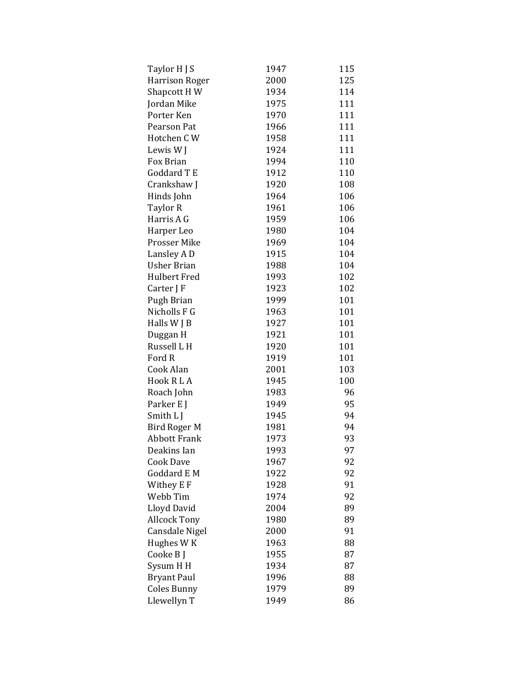| Taylor H J S          | 1947 | 115 |
|-----------------------|------|-----|
| <b>Harrison Roger</b> | 2000 | 125 |
| Shapcott HW           | 1934 | 114 |
| Jordan Mike           | 1975 | 111 |
| Porter Ken            | 1970 | 111 |
| Pearson Pat           | 1966 | 111 |
| Hotchen CW            | 1958 | 111 |
| Lewis W J             | 1924 | 111 |
| Fox Brian             | 1994 | 110 |
| Goddard T E           | 1912 | 110 |
| Crankshaw J           | 1920 | 108 |
| Hinds John            | 1964 | 106 |
| Taylor R              | 1961 | 106 |
| Harris A G            | 1959 | 106 |
| Harper Leo            | 1980 | 104 |
| <b>Prosser Mike</b>   | 1969 | 104 |
| Lansley A D           | 1915 | 104 |
| <b>Usher Brian</b>    | 1988 | 104 |
| <b>Hulbert Fred</b>   | 1993 | 102 |
| Carter J F            | 1923 | 102 |
| Pugh Brian            | 1999 | 101 |
| Nicholls F G          | 1963 | 101 |
| Halls W J B           | 1927 | 101 |
| Duggan H              | 1921 | 101 |
| Russell L H           | 1920 | 101 |
| Ford R                | 1919 | 101 |
| Cook Alan             | 2001 | 103 |
| Hook RLA              | 1945 | 100 |
| Roach John            | 1983 | 96  |
| Parker E J            | 1949 | 95  |
| Smith L J             | 1945 | 94  |
| Bird Roger M          | 1981 | 94  |
| <b>Abbott Frank</b>   | 1973 | 93  |
| Deakins Ian           | 1993 | 97  |
| <b>Cook Dave</b>      | 1967 | 92  |
| Goddard E M           | 1922 | 92  |
| Withey E F            | 1928 | 91  |
| Webb Tim              | 1974 | 92  |
| Lloyd David           | 2004 | 89  |
| <b>Allcock Tony</b>   | 1980 | 89  |
| Cansdale Nigel        | 2000 | 91  |
| Hughes W K            | 1963 | 88  |
| Cooke B J             | 1955 | 87  |
| Sysum HH              | 1934 | 87  |
| <b>Bryant Paul</b>    | 1996 | 88  |
| <b>Coles Bunny</b>    | 1979 | 89  |
| Llewellyn T           | 1949 | 86  |
|                       |      |     |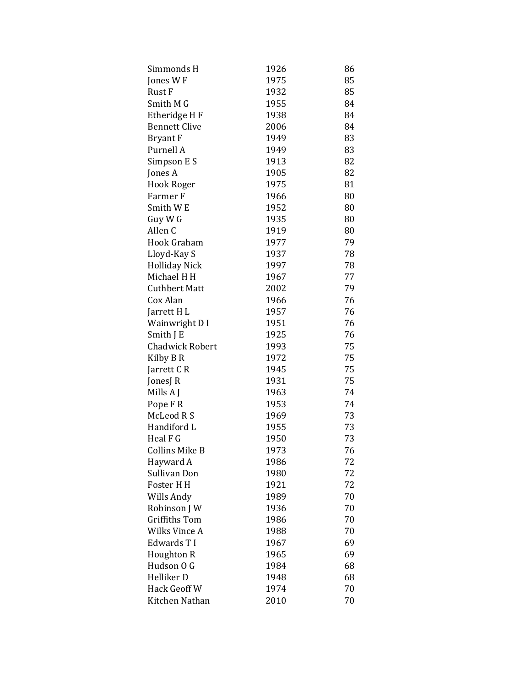| Simmonds H             | 1926 | 86 |
|------------------------|------|----|
| Jones WF               | 1975 | 85 |
| Rust F                 | 1932 | 85 |
| Smith M G              | 1955 | 84 |
| Etheridge H F          | 1938 | 84 |
| <b>Bennett Clive</b>   | 2006 | 84 |
| <b>Bryant F</b>        | 1949 | 83 |
| Purnell A              | 1949 | 83 |
| Simpson E S            | 1913 | 82 |
| Jones A                | 1905 | 82 |
| <b>Hook Roger</b>      | 1975 | 81 |
| Farmer F               | 1966 | 80 |
| Smith W <sub>E</sub>   | 1952 | 80 |
| Guy W G                | 1935 | 80 |
| Allen <sub>C</sub>     | 1919 | 80 |
| Hook Graham            | 1977 | 79 |
| Lloyd-Kay S            | 1937 | 78 |
| <b>Holliday Nick</b>   | 1997 | 78 |
| Michael H H            | 1967 | 77 |
| <b>Cuthbert Matt</b>   | 2002 | 79 |
| Cox Alan               | 1966 | 76 |
| Jarrett H L            | 1957 | 76 |
| Wainwright D I         | 1951 | 76 |
| Smith J E              | 1925 | 76 |
| <b>Chadwick Robert</b> | 1993 | 75 |
| Kilby B R              | 1972 | 75 |
| Jarrett CR             | 1945 | 75 |
| JonesJ R               | 1931 | 75 |
| Mills A J              | 1963 | 74 |
| Pope FR                | 1953 | 74 |
| McLeod R S             | 1969 | 73 |
| Handiford L            | 1955 | 73 |
| Heal F G               | 1950 | 73 |
| Collins Mike B         | 1973 | 76 |
| Hayward A              | 1986 | 72 |
| Sullivan Don           | 1980 | 72 |
| Foster H H             | 1921 | 72 |
| Wills Andy             | 1989 | 70 |
| Robinson J W           | 1936 | 70 |
| Griffiths Tom          | 1986 | 70 |
| Wilks Vince A          | 1988 | 70 |
| Edwards T I            | 1967 | 69 |
| Houghton R             | 1965 | 69 |
| Hudson O G             | 1984 | 68 |
| Helliker D             | 1948 | 68 |
| Hack Geoff W           | 1974 | 70 |
| Kitchen Nathan         | 2010 | 70 |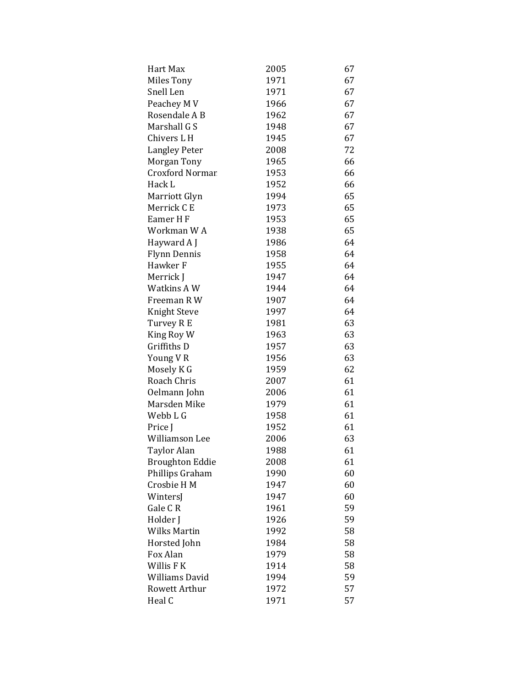| Hart Max               | 2005 | 67 |
|------------------------|------|----|
| <b>Miles Tony</b>      | 1971 | 67 |
| Snell Len              | 1971 | 67 |
| Peachey M V            | 1966 | 67 |
| Rosendale A B          | 1962 | 67 |
| Marshall G S           | 1948 | 67 |
| Chivers L H            | 1945 | 67 |
| <b>Langley Peter</b>   | 2008 | 72 |
| Morgan Tony            | 1965 | 66 |
| <b>Croxford Normar</b> | 1953 | 66 |
| Hack L                 | 1952 | 66 |
| Marriott Glyn          | 1994 | 65 |
| Merrick C E            | 1973 | 65 |
| Eamer HF               | 1953 | 65 |
| Workman WA             | 1938 | 65 |
| Hayward A J            | 1986 | 64 |
| Flynn Dennis           | 1958 | 64 |
| Hawker F               | 1955 | 64 |
| Merrick J              | 1947 | 64 |
| Watkins A W            | 1944 | 64 |
| Freeman R W            | 1907 | 64 |
| Knight Steve           | 1997 | 64 |
| Turvey R E             | 1981 | 63 |
| King Roy W             | 1963 | 63 |
| Griffiths D            | 1957 | 63 |
| Young VR               | 1956 | 63 |
| Mosely K G             | 1959 | 62 |
| Roach Chris            | 2007 | 61 |
| Oelmann John           | 2006 | 61 |
| Marsden Mike           | 1979 | 61 |
| Webb L G               | 1958 | 61 |
| Price J                | 1952 | 61 |
| Williamson Lee         | 2006 | 63 |
| <b>Taylor Alan</b>     | 1988 | 61 |
| <b>Broughton Eddie</b> | 2008 | 61 |
| Phillips Graham        | 1990 | 60 |
| Crosbie H M            | 1947 | 60 |
| WintersJ               | 1947 | 60 |
| Gale CR                | 1961 | 59 |
| Holder J               | 1926 | 59 |
| Wilks Martin           | 1992 | 58 |
| Horsted John           | 1984 | 58 |
| Fox Alan               | 1979 | 58 |
| Willis F K             | 1914 | 58 |
| Williams David         | 1994 | 59 |
| Rowett Arthur          | 1972 | 57 |
| Heal C                 | 1971 | 57 |